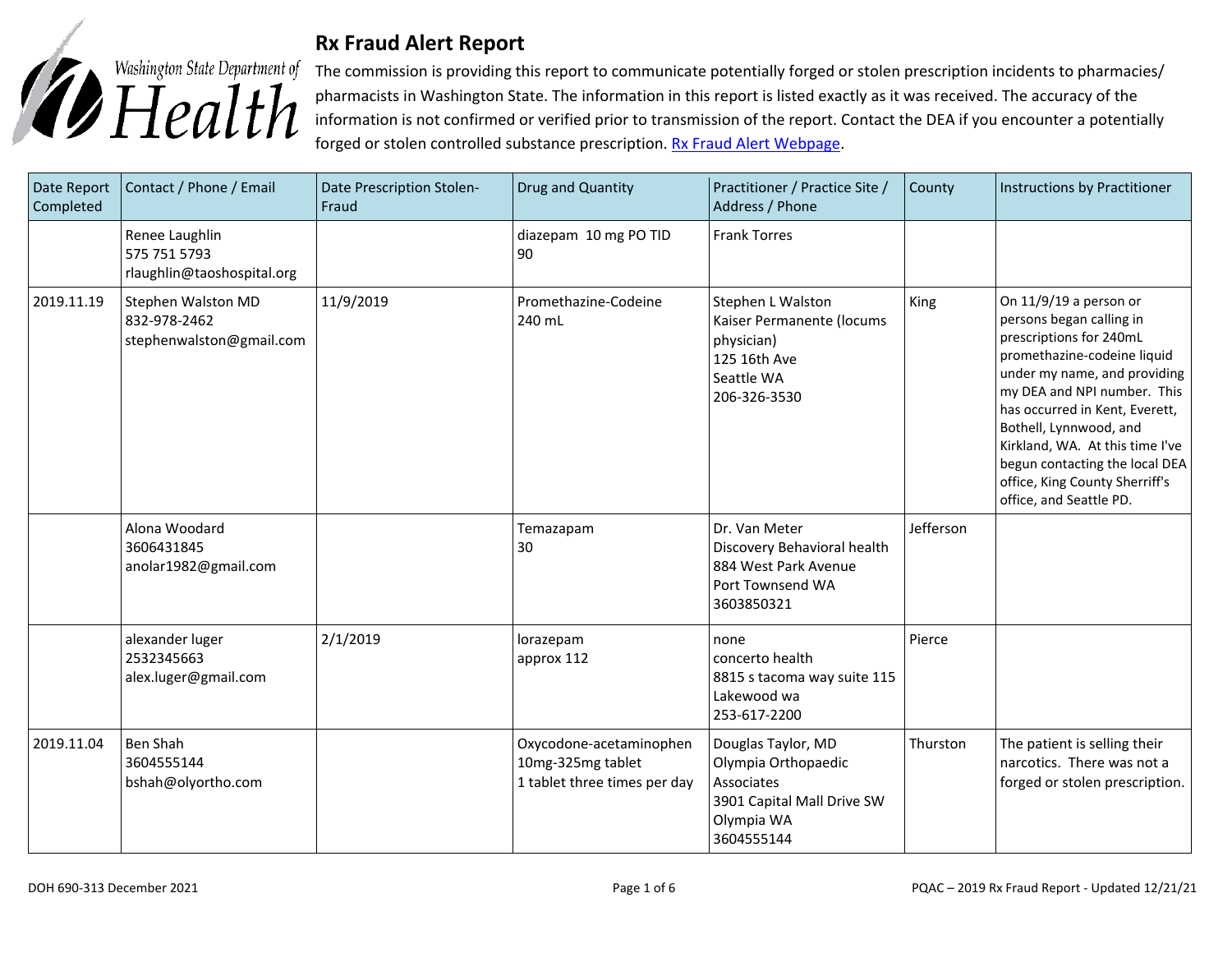

## **Rx Fraud Alert Report**

The commission is providing this report to communicate potentially forged or stolen prescription incidents to pharmacies/ pharmacists in Washington State. The information in this report is listed exactly as it was received. The accuracy of the information is not confirmed or verified prior to transmission of the report. Contact the DEA if you encounter a potentially forged or stolen controlled substance prescription. [Rx Fraud Alert Webpage.](https://www.doh.wa.gov/LicensesPermitsandCertificates/ProfessionsNewReneworUpdate/PharmacyCommission/RxFraudAlerts)

| Date Report<br>Completed | Contact / Phone / Email                                        | Date Prescription Stolen-<br>Fraud | Drug and Quantity                                                            | Practitioner / Practice Site /<br>Address / Phone                                                                 | County    | Instructions by Practitioner                                                                                                                                                                                                                                                                                                                                              |
|--------------------------|----------------------------------------------------------------|------------------------------------|------------------------------------------------------------------------------|-------------------------------------------------------------------------------------------------------------------|-----------|---------------------------------------------------------------------------------------------------------------------------------------------------------------------------------------------------------------------------------------------------------------------------------------------------------------------------------------------------------------------------|
|                          | Renee Laughlin<br>575 751 5793<br>rlaughlin@taoshospital.org   |                                    | diazepam 10 mg PO TID<br>90                                                  | <b>Frank Torres</b>                                                                                               |           |                                                                                                                                                                                                                                                                                                                                                                           |
| 2019.11.19               | Stephen Walston MD<br>832-978-2462<br>stephenwalston@gmail.com | 11/9/2019                          | Promethazine-Codeine<br>240 mL                                               | Stephen L Walston<br>Kaiser Permanente (locums<br>physician)<br>125 16th Ave<br>Seattle WA<br>206-326-3530        | King      | On 11/9/19 a person or<br>persons began calling in<br>prescriptions for 240mL<br>promethazine-codeine liquid<br>under my name, and providing<br>my DEA and NPI number. This<br>has occurred in Kent, Everett,<br>Bothell, Lynnwood, and<br>Kirkland, WA. At this time I've<br>begun contacting the local DEA<br>office, King County Sherriff's<br>office, and Seattle PD. |
|                          | Alona Woodard<br>3606431845<br>anolar1982@gmail.com            |                                    | Temazapam<br>30                                                              | Dr. Van Meter<br>Discovery Behavioral health<br>884 West Park Avenue<br>Port Townsend WA<br>3603850321            | Jefferson |                                                                                                                                                                                                                                                                                                                                                                           |
|                          | alexander luger<br>2532345663<br>alex.luger@gmail.com          | 2/1/2019                           | lorazepam<br>approx 112                                                      | none<br>concerto health<br>8815 s tacoma way suite 115<br>Lakewood wa<br>253-617-2200                             | Pierce    |                                                                                                                                                                                                                                                                                                                                                                           |
| 2019.11.04               | <b>Ben Shah</b><br>3604555144<br>bshah@olyortho.com            |                                    | Oxycodone-acetaminophen<br>10mg-325mg tablet<br>1 tablet three times per day | Douglas Taylor, MD<br>Olympia Orthopaedic<br>Associates<br>3901 Capital Mall Drive SW<br>Olympia WA<br>3604555144 | Thurston  | The patient is selling their<br>narcotics. There was not a<br>forged or stolen prescription.                                                                                                                                                                                                                                                                              |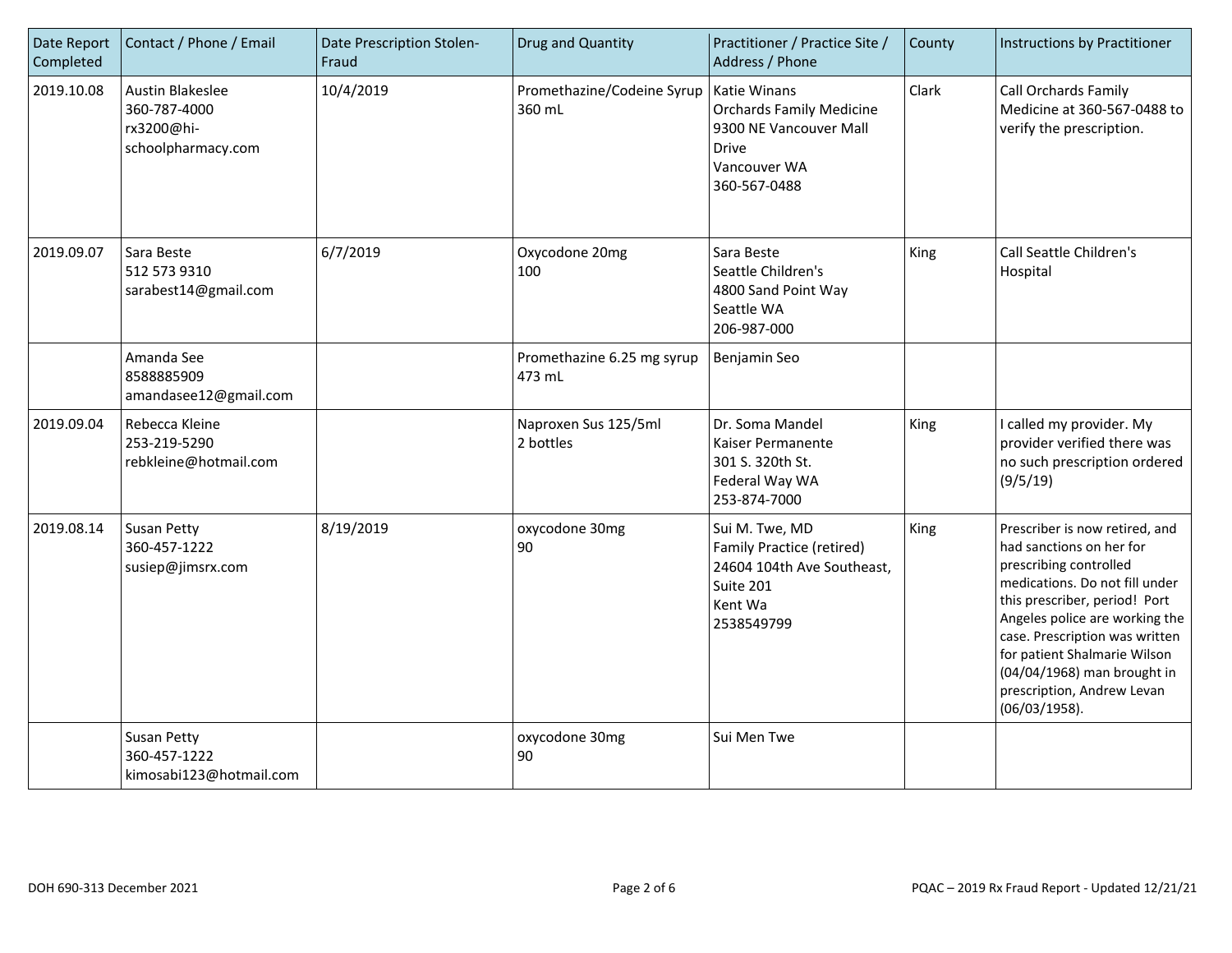| Date Report<br>Completed | Contact / Phone / Email                                                     | Date Prescription Stolen-<br>Fraud | Drug and Quantity                    | Practitioner / Practice Site /<br>Address / Phone                                                                                | County | Instructions by Practitioner                                                                                                                                                                                                                                                                                                              |
|--------------------------|-----------------------------------------------------------------------------|------------------------------------|--------------------------------------|----------------------------------------------------------------------------------------------------------------------------------|--------|-------------------------------------------------------------------------------------------------------------------------------------------------------------------------------------------------------------------------------------------------------------------------------------------------------------------------------------------|
| 2019.10.08               | <b>Austin Blakeslee</b><br>360-787-4000<br>rx3200@hi-<br>schoolpharmacy.com | 10/4/2019                          | Promethazine/Codeine Syrup<br>360 mL | <b>Katie Winans</b><br><b>Orchards Family Medicine</b><br>9300 NE Vancouver Mall<br><b>Drive</b><br>Vancouver WA<br>360-567-0488 | Clark  | Call Orchards Family<br>Medicine at 360-567-0488 to<br>verify the prescription.                                                                                                                                                                                                                                                           |
| 2019.09.07               | Sara Beste<br>512 573 9310<br>sarabest14@gmail.com                          | 6/7/2019                           | Oxycodone 20mg<br>100                | Sara Beste<br>Seattle Children's<br>4800 Sand Point Way<br>Seattle WA<br>206-987-000                                             | King   | <b>Call Seattle Children's</b><br>Hospital                                                                                                                                                                                                                                                                                                |
|                          | Amanda See<br>8588885909<br>amandasee12@gmail.com                           |                                    | Promethazine 6.25 mg syrup<br>473 mL | Benjamin Seo                                                                                                                     |        |                                                                                                                                                                                                                                                                                                                                           |
| 2019.09.04               | Rebecca Kleine<br>253-219-5290<br>rebkleine@hotmail.com                     |                                    | Naproxen Sus 125/5ml<br>2 bottles    | Dr. Soma Mandel<br>Kaiser Permanente<br>301 S. 320th St.<br>Federal Way WA<br>253-874-7000                                       | King   | I called my provider. My<br>provider verified there was<br>no such prescription ordered<br>(9/5/19)                                                                                                                                                                                                                                       |
| 2019.08.14               | <b>Susan Petty</b><br>360-457-1222<br>susiep@jimsrx.com                     | 8/19/2019                          | oxycodone 30mg<br>90                 | Sui M. Twe, MD<br>Family Practice (retired)<br>24604 104th Ave Southeast,<br>Suite 201<br>Kent Wa<br>2538549799                  | King   | Prescriber is now retired, and<br>had sanctions on her for<br>prescribing controlled<br>medications. Do not fill under<br>this prescriber, period! Port<br>Angeles police are working the<br>case. Prescription was written<br>for patient Shalmarie Wilson<br>(04/04/1968) man brought in<br>prescription, Andrew Levan<br>(06/03/1958). |
|                          | <b>Susan Petty</b><br>360-457-1222<br>kimosabi123@hotmail.com               |                                    | oxycodone 30mg<br>90                 | Sui Men Twe                                                                                                                      |        |                                                                                                                                                                                                                                                                                                                                           |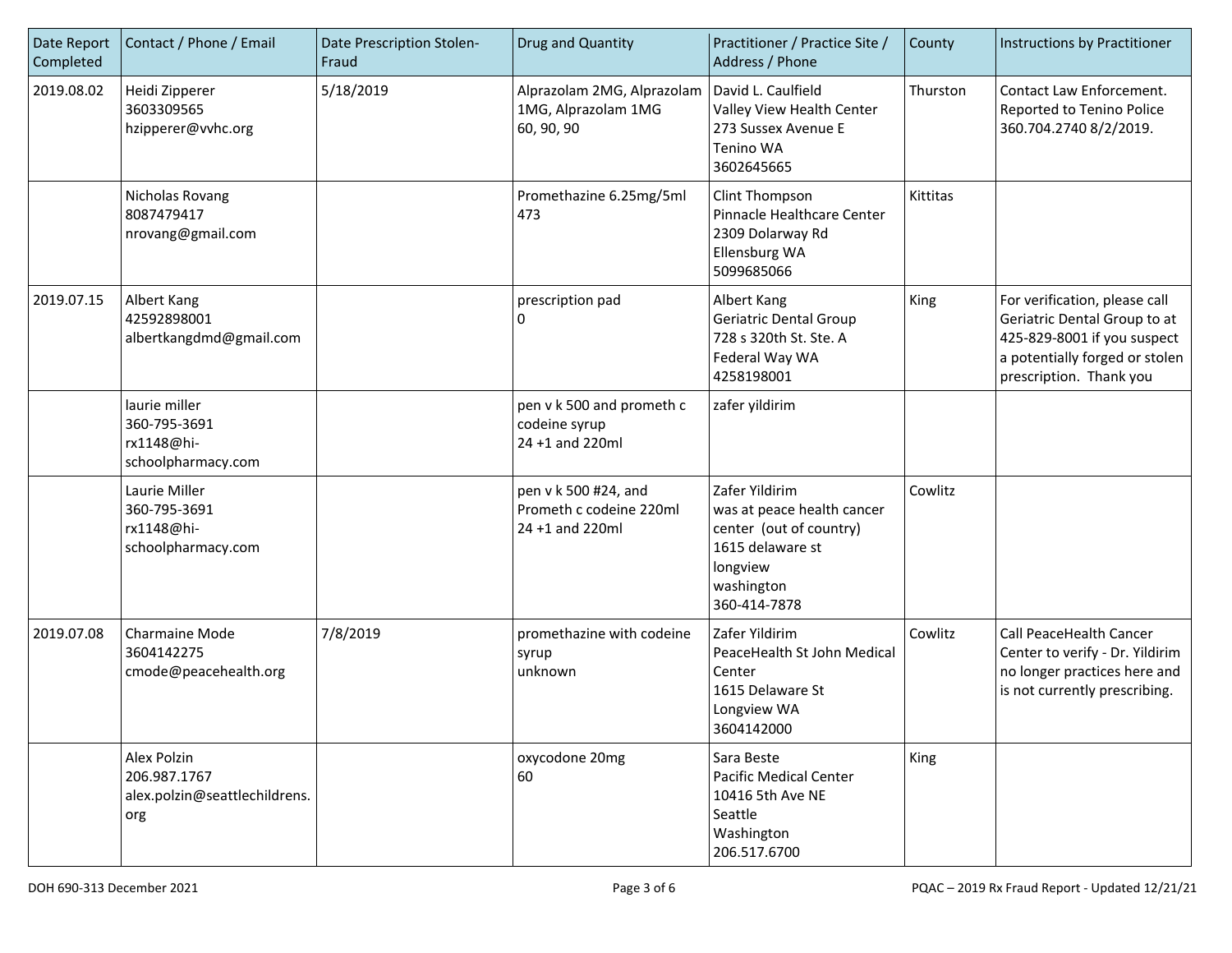| Date Report<br>Completed | Contact / Phone / Email                                             | Date Prescription Stolen-<br>Fraud | Drug and Quantity                                                  | Practitioner / Practice Site /<br>Address / Phone                                                                                     | County   | Instructions by Practitioner                                                                                                                              |
|--------------------------|---------------------------------------------------------------------|------------------------------------|--------------------------------------------------------------------|---------------------------------------------------------------------------------------------------------------------------------------|----------|-----------------------------------------------------------------------------------------------------------------------------------------------------------|
| 2019.08.02               | Heidi Zipperer<br>3603309565<br>hzipperer@vvhc.org                  | 5/18/2019                          | Alprazolam 2MG, Alprazolam<br>1MG, Alprazolam 1MG<br>60, 90, 90    | David L. Caulfield<br>Valley View Health Center<br>273 Sussex Avenue E<br>Tenino WA<br>3602645665                                     | Thurston | Contact Law Enforcement.<br>Reported to Tenino Police<br>360.704.2740 8/2/2019.                                                                           |
|                          | Nicholas Rovang<br>8087479417<br>nrovang@gmail.com                  |                                    | Promethazine 6.25mg/5ml<br>473                                     | Clint Thompson<br>Pinnacle Healthcare Center<br>2309 Dolarway Rd<br>Ellensburg WA<br>5099685066                                       | Kittitas |                                                                                                                                                           |
| 2019.07.15               | Albert Kang<br>42592898001<br>albertkangdmd@gmail.com               |                                    | prescription pad<br>0                                              | Albert Kang<br><b>Geriatric Dental Group</b><br>728 s 320th St. Ste. A<br>Federal Way WA<br>4258198001                                | King     | For verification, please call<br>Geriatric Dental Group to at<br>425-829-8001 if you suspect<br>a potentially forged or stolen<br>prescription. Thank you |
|                          | laurie miller<br>360-795-3691<br>rx1148@hi-<br>schoolpharmacy.com   |                                    | pen v k 500 and prometh c<br>codeine syrup<br>24 +1 and 220ml      | zafer yildirim                                                                                                                        |          |                                                                                                                                                           |
|                          | Laurie Miller<br>360-795-3691<br>rx1148@hi-<br>schoolpharmacy.com   |                                    | pen v k 500 #24, and<br>Prometh c codeine 220ml<br>24 +1 and 220ml | Zafer Yildirim<br>was at peace health cancer<br>center (out of country)<br>1615 delaware st<br>longview<br>washington<br>360-414-7878 | Cowlitz  |                                                                                                                                                           |
| 2019.07.08               | Charmaine Mode<br>3604142275<br>cmode@peacehealth.org               | 7/8/2019                           | promethazine with codeine<br>syrup<br>unknown                      | Zafer Yildirim<br>PeaceHealth St John Medical<br>Center<br>1615 Delaware St<br>Longview WA<br>3604142000                              | Cowlitz  | Call PeaceHealth Cancer<br>Center to verify - Dr. Yildirim<br>no longer practices here and<br>is not currently prescribing.                               |
|                          | Alex Polzin<br>206.987.1767<br>alex.polzin@seattlechildrens.<br>org |                                    | oxycodone 20mg<br>60                                               | Sara Beste<br><b>Pacific Medical Center</b><br>10416 5th Ave NE<br>Seattle<br>Washington<br>206.517.6700                              | King     |                                                                                                                                                           |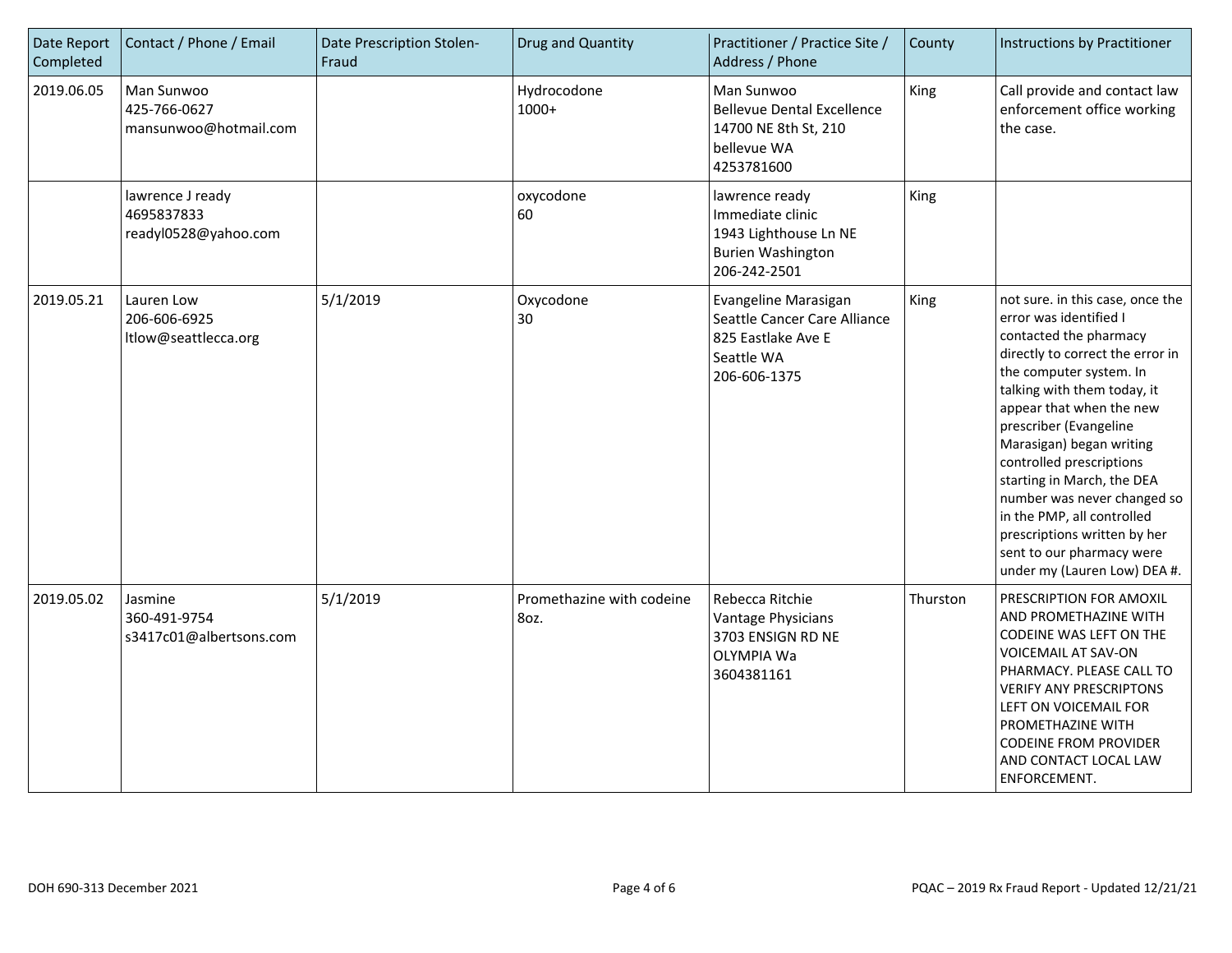| Date Report<br>Completed | Contact / Phone / Email                                | Date Prescription Stolen-<br>Fraud | Drug and Quantity                 | Practitioner / Practice Site /<br>Address / Phone                                                        | County   | Instructions by Practitioner                                                                                                                                                                                                                                                                                                                                                                                                                                                             |
|--------------------------|--------------------------------------------------------|------------------------------------|-----------------------------------|----------------------------------------------------------------------------------------------------------|----------|------------------------------------------------------------------------------------------------------------------------------------------------------------------------------------------------------------------------------------------------------------------------------------------------------------------------------------------------------------------------------------------------------------------------------------------------------------------------------------------|
| 2019.06.05               | Man Sunwoo<br>425-766-0627<br>mansunwoo@hotmail.com    |                                    | Hydrocodone<br>1000+              | Man Sunwoo<br><b>Bellevue Dental Excellence</b><br>14700 NE 8th St, 210<br>bellevue WA<br>4253781600     | King     | Call provide and contact law<br>enforcement office working<br>the case.                                                                                                                                                                                                                                                                                                                                                                                                                  |
|                          | lawrence J ready<br>4695837833<br>readyl0528@yahoo.com |                                    | oxycodone<br>60                   | lawrence ready<br>Immediate clinic<br>1943 Lighthouse Ln NE<br><b>Burien Washington</b><br>206-242-2501  | King     |                                                                                                                                                                                                                                                                                                                                                                                                                                                                                          |
| 2019.05.21               | Lauren Low<br>206-606-6925<br>ltlow@seattlecca.org     | 5/1/2019                           | Oxycodone<br>30                   | Evangeline Marasigan<br>Seattle Cancer Care Alliance<br>825 Eastlake Ave E<br>Seattle WA<br>206-606-1375 | King     | not sure. in this case, once the<br>error was identified I<br>contacted the pharmacy<br>directly to correct the error in<br>the computer system. In<br>talking with them today, it<br>appear that when the new<br>prescriber (Evangeline<br>Marasigan) began writing<br>controlled prescriptions<br>starting in March, the DEA<br>number was never changed so<br>in the PMP, all controlled<br>prescriptions written by her<br>sent to our pharmacy were<br>under my (Lauren Low) DEA #. |
| 2019.05.02               | Jasmine<br>360-491-9754<br>s3417c01@albertsons.com     | 5/1/2019                           | Promethazine with codeine<br>80z. | Rebecca Ritchie<br>Vantage Physicians<br>3703 ENSIGN RD NE<br>OLYMPIA Wa<br>3604381161                   | Thurston | PRESCRIPTION FOR AMOXIL<br>AND PROMETHAZINE WITH<br>CODEINE WAS LEFT ON THE<br>VOICEMAIL AT SAV-ON<br>PHARMACY. PLEASE CALL TO<br><b>VERIFY ANY PRESCRIPTONS</b><br>LEFT ON VOICEMAIL FOR<br>PROMETHAZINE WITH<br><b>CODEINE FROM PROVIDER</b><br>AND CONTACT LOCAL LAW<br>ENFORCEMENT.                                                                                                                                                                                                  |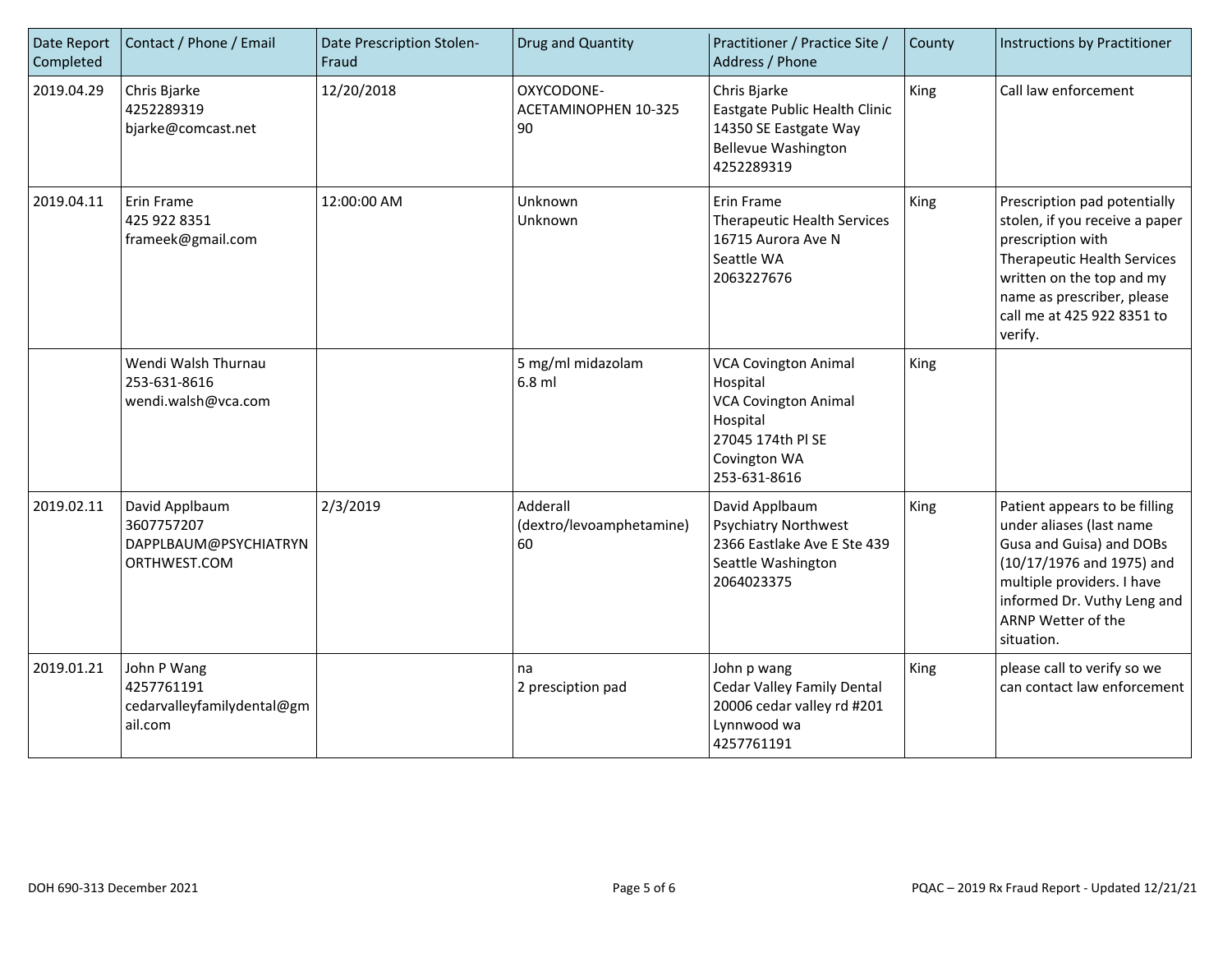| Date Report<br>Completed | Contact / Phone / Email                                               | Date Prescription Stolen-<br>Fraud | Drug and Quantity                          | Practitioner / Practice Site /<br>Address / Phone                                                                                       | County | Instructions by Practitioner                                                                                                                                                                                                  |
|--------------------------|-----------------------------------------------------------------------|------------------------------------|--------------------------------------------|-----------------------------------------------------------------------------------------------------------------------------------------|--------|-------------------------------------------------------------------------------------------------------------------------------------------------------------------------------------------------------------------------------|
| 2019.04.29               | Chris Bjarke<br>4252289319<br>bjarke@comcast.net                      | 12/20/2018                         | OXYCODONE-<br>ACETAMINOPHEN 10-325<br>90   | Chris Bjarke<br>Eastgate Public Health Clinic<br>14350 SE Eastgate Way<br><b>Bellevue Washington</b><br>4252289319                      | King   | Call law enforcement                                                                                                                                                                                                          |
| 2019.04.11               | Erin Frame<br>425 922 8351<br>frameek@gmail.com                       | 12:00:00 AM                        | Unknown<br>Unknown                         | Erin Frame<br><b>Therapeutic Health Services</b><br>16715 Aurora Ave N<br>Seattle WA<br>2063227676                                      | King   | Prescription pad potentially<br>stolen, if you receive a paper<br>prescription with<br><b>Therapeutic Health Services</b><br>written on the top and my<br>name as prescriber, please<br>call me at 425 922 8351 to<br>verify. |
|                          | Wendi Walsh Thurnau<br>253-631-8616<br>wendi.walsh@vca.com            |                                    | 5 mg/ml midazolam<br>6.8 ml                | <b>VCA Covington Animal</b><br>Hospital<br><b>VCA Covington Animal</b><br>Hospital<br>27045 174th PI SE<br>Covington WA<br>253-631-8616 | King   |                                                                                                                                                                                                                               |
| 2019.02.11               | David Applbaum<br>3607757207<br>DAPPLBAUM@PSYCHIATRYN<br>ORTHWEST.COM | 2/3/2019                           | Adderall<br>(dextro/levoamphetamine)<br>60 | David Applbaum<br><b>Psychiatry Northwest</b><br>2366 Eastlake Ave E Ste 439<br>Seattle Washington<br>2064023375                        | King   | Patient appears to be filling<br>under aliases (last name<br>Gusa and Guisa) and DOBs<br>(10/17/1976 and 1975) and<br>multiple providers. I have<br>informed Dr. Vuthy Leng and<br>ARNP Wetter of the<br>situation.           |
| 2019.01.21               | John P Wang<br>4257761191<br>cedarvalleyfamilydental@gm<br>ail.com    |                                    | na<br>2 presciption pad                    | John p wang<br>Cedar Valley Family Dental<br>20006 cedar valley rd #201<br>Lynnwood wa<br>4257761191                                    | King   | please call to verify so we<br>can contact law enforcement                                                                                                                                                                    |